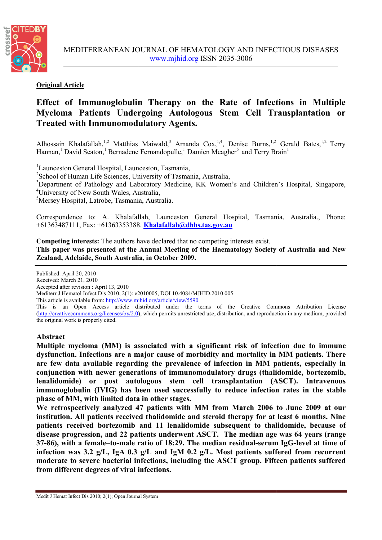

## **Original Article**

## **Effect of Immunoglobulin Therapy on the Rate of Infections** Myeloma Patients Undergoing Autologous Stem Cell Transplantation or<br>Treated with Immunomodulatory Agents. **Treated with Immunomodulatory Agents**

Alhossain Khalafallah,<sup>1,2</sup> Matthias Maiwald,<sup>3</sup> Amanda Cox,<sup>1,4</sup>, Denise Burns,<sup>1,2</sup> Gerald Bates,<sup>1,2</sup> Terry Hannan, <sup>1</sup> David Seaton, <sup>1</sup> Bernadene Fernandopulle, <sup>1</sup> Damien Meagher<sup>5</sup> and Terry Brain<sup>1</sup>

1 Launceston General Hospital, Launceston, Tasmania,

<sup>1</sup> Launceston General Hospital, Launceston, Tasmania,<br><sup>2</sup> School of Human Life Sciences, University of Tasmania, Australia,

<sup>3</sup>Department of Pathology and Laboratory Medicine, KK Women's and Children's Hospital, Singapore, 4 University of New South Wales, Australia,

5 Mersey Hospital, Latrobe, Tasmania, Australia.

<sup>4</sup>University of New South Wales, Australia,<br><sup>5</sup>Mersey Hospital, Latrobe, Tasmania, Australia.<br>Correspondence to: A. Khalafallah, Launceston General Hospital, Tasmania, Australia., Phone: +61363487111, Fax: +61363353388. **Khalafallah@dhhs.tas.gov.au**

Competing interests: The authors have declared that no competing interests exist. This paper was presented at the Annual Meeting of the Haematology Society of Australia and New<br>Zealand, Adelaide, South Australia, in October 2009. **Zealand, Adelaide, South Australia, in October 2009.**

Published: April 20, 2010 Received: March 21, 2010 Accepted after revision : April 13, 2010 Mediterr J Hematol Infect Dis 2010, 2(1): e2010005, DOI 10.4084/MJHID.2010.005 This article is available from: http://www.mjhid.org/article/view/5590 This is an Open Access article distributed under the terms of the Creative Commons Attribution License This is an Open Access article distributed under the terms of the Creative Commons Attribution License (http://creativecommons.org/licenses/by/2.0), which permits unrestricted use, distribution, and reproduction in any med the original work is properly cited.

## **Abstract**

**Multiple myeloma (MM) is associated with a significant risk of infection due to immune dysfunction. Infections are a major cause of morbidity and mortality in MM patients. There**  are few data available regarding the prevalence of infection in MM patients, especially in **conjunction with newer generations of immunomodulatory drugs (thalidomide, bortezomib, lenalidomide) or post autologous stem cell transplantation (ASCT). Intravenous immunoglobulin (IVIG) has been used successfully to reduce infection rates in in the stable phase of MM, with limited data in other stages.**  Multiple myeloma (MM) is associated with a significant risk of infection due to immune<br>dysfunction. Infections are a major cause of morbidity and mortality in MM patients. There<br>are few data available regarding the prevale Fect of Immunonglobulin Therapy on the Rate of Infections in Multiple<br>readed with Immunonmodulatory Agents.<br>
easein Khalafallah,<sup>15</sup> Mathins Maiwald,<sup>1</sup> Amanda Cox<sup>14</sup>, Denise Burns,<sup>23</sup> Genild Bales,<sup>15</sup> Terry<br>
mana, Davi

**We retrospectively analyzed 47 patients with MM from March 2006 to June 2009 at our institution. All patients received thalidomide and steroid therapy for at least 6 months. Nine patients received bortezomib and 11 lenalidomide subsequent to thalidomide, because of disease progression, and 22 patients underwent ASCT. The median age was 64 years (range 37-86), with a female–to-male ratio of 18:29. The median residual serum IgG-level at time of infection was 3.2 g/L, IgA 0.3 g/L and IgM 0.2 g/L. Most patients suffered from recurrent moderate to severe bacterial infections, including the ASCT group. Fifteen patients suffered from different degrees of viral infections.**  MEDITERRANEAN JOURNAI. OF HEMATOLOGY AND<br> **Solution** Solution SSN 2035-3006<br> **Article**<br>
of Immunoglobulin Therapy on the Rate of<br>
article<br>
of Unimunoglobulin Therapy on the Rate of<br>
article<br>
of With Immunomodulatory Agents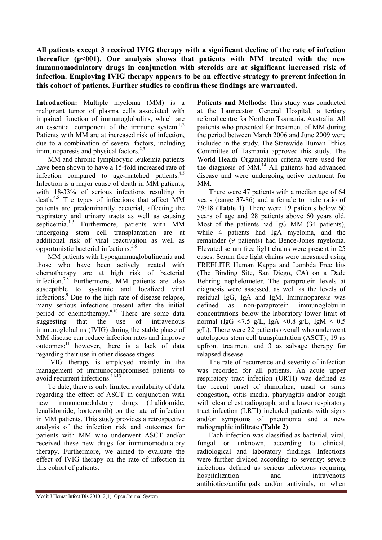**All patients except 3 received IVIG therapy with a significant decline of the rate of infection thereafter (p<001). Our analysis shows that patients with MM treated with the new immunomodulatory drugs in conjunction with steroids are at significant increased risk of infection. Employing IVIG therapy appears to be an effective strategy to prevent infection in this cohort of patients. Further studies to confirm these findings are warranted.** 

**Introduction:** Multiple myeloma (MM) is a malignant tumor of plasma cells associated with impaired function of immunoglobulins, which are an essential component of the immune system. $1,2$ Patients with MM are at increased risk of infection, due to a combination of several factors, including immunoparesis and physical factors.<sup>2,3</sup>

MM and chronic lymphocytic leukemia patients have been shown to have a 15-fold increased rate of infection compared to age-matched patients.<sup>4,5</sup> Infection is a major cause of death in MM patients, with 18-33% of serious infections resulting in death.4,5 The types of infections that affect MM patients are predominantly bacterial, affecting the respiratory and urinary tracts as well as causing septicemia.<sup>1-5</sup> Furthermore, patients with MM undergoing stem cell transplantation are at additional risk of viral reactivation as well as opportunistic bacterial infections.<sup>5,6</sup>

MM patients with hypogammaglobulinemia and those who have been actively treated with chemotherapy are at high risk of bacterial infection.7,8 Furthermore, MM patients are also susceptible to systemic and localized viral infections.<sup>9</sup> Due to the high rate of disease relapse, many serious infections present after the initial period of chemotherapy.<sup>8.10</sup> There are some data suggesting that the use of intravenous immunoglobulins (IVIG) during the stable phase of MM disease can reduce infection rates and improve outcomes; $11$  however, there is a lack of data regarding their use in other disease stages.

IVIG therapy is employed mainly in the management of immunocompromised patients to avoid recurrent infections.<sup>11-13</sup>

To date, there is only limited availability of data regarding the effect of ASCT in conjunction with new immunomodulatory drugs (thalidomide, lenalidomide, bortezomib) on the rate of infection in MM patients. This study provides a retrospective analysis of the infection risk and outcomes for patients with MM who underwent ASCT and/or received these new drugs for immunomodulatory therapy. Furthermore, we aimed to evaluate the effect of IVIG therapy on the rate of infection in this cohort of patients.

**Patients and Methods:** This study was conducted at the Launceston General Hospital, a tertiary referral centre for Northern Tasmania, Australia. All patients who presented for treatment of MM during the period between March 2006 and June 2009 were included in the study. The Statewide Human Ethics Committee of Tasmania approved this study. The World Health Organization criteria were used for the diagnosis of  $\overline{M}M$ .<sup>14</sup> All patients had advanced disease and were undergoing active treatment for MM.

There were 47 patients with a median age of 64 years (range 37-86) and a female to male ratio of 29:18 (**Table 1**). There were 19 patients below 60 years of age and 28 patients above 60 years old. Most of the patients had IgG MM (34 patients), while 4 patients had IgA myeloma, and the remainder (9 patients) had Bence-Jones myeloma. Elevated serum free light chains were present in 25 cases. Serum free light chains were measured using FREELITE Human Kappa and Lambda Free kits (The Binding Site, San Diego, CA) on a Dade Behring nephelometer. The paraprotein levels at diagnosis were assessed, as well as the levels of residual IgG, IgA and IgM. Immunoparesis was defined as non-paraprotein immunoglobulin concentrations below the laboratory lower limit of normal (IgG  $\langle 7.5 \text{ g/L} \rangle$ , IgA  $\langle 0.8 \text{ g/L} \rangle$ , IgM  $\langle 0.5 \rangle$ g/L). There were 22 patients overall who underwent autologous stem cell transplantation (ASCT); 19 as upfront treatment and 3 as salvage therapy for relapsed disease.

The rate of recurrence and severity of infection was recorded for all patients. An acute upper respiratory tract infection (URTI) was defined as the recent onset of rhinorrhea, nasal or sinus congestion, otitis media, pharyngitis and/or cough with clear chest radiograph, and a lower respiratory tract infection (LRTI) included patients with signs and/or symptoms of pneumonia and a new radiographic infiltrate (**Table 2**).

Each infection was classified as bacterial, viral, fungal or unknown, according to clinical, radiological and laboratory findings. Infections were further divided according to severity: severe infections defined as serious infections requiring hospitalization and intravenous antibiotics/antifungals and/or antivirals, or when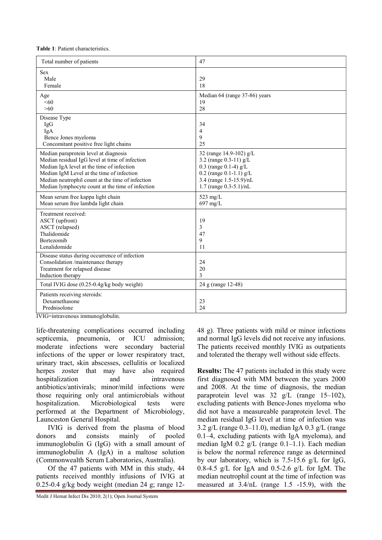**Table 1**: Patient characteristics.

| Total number of patients                                                                                                                                                                                                                                                                  | 47                                                                                                                                                               |  |
|-------------------------------------------------------------------------------------------------------------------------------------------------------------------------------------------------------------------------------------------------------------------------------------------|------------------------------------------------------------------------------------------------------------------------------------------------------------------|--|
| Sex<br>Male<br>Female                                                                                                                                                                                                                                                                     | 29<br>18                                                                                                                                                         |  |
| Age<br>< 60<br>>60                                                                                                                                                                                                                                                                        | Median 64 (range 37-86) years<br>19<br>28                                                                                                                        |  |
| Disease Type<br><b>IgG</b><br>IgA<br>Bence Jones myeloma<br>Concomitant positive free light chains                                                                                                                                                                                        | 34<br>$\overline{4}$<br>9<br>25                                                                                                                                  |  |
| Median paraprotein level at diagnosis<br>Median residual IgG level at time of infection<br>Median IgA level at the time of infection<br>Median IgM Level at the time of infection<br>Median neutrophil count at the time of infection<br>Median lymphocyte count at the time of infection | 32 (range 14.9-102) g/L<br>3.2 (range 0.3-11) g/L<br>0.3 (range $0.1-4$ ) g/L<br>0.2 (range $0.1-1.1$ ) g/L<br>3.4 (range 1.5-15.9)/nL<br>1.7 (range 0.3-5.1)/nL |  |
| Mean serum free kappa light chain<br>Mean serum free lambda light chain                                                                                                                                                                                                                   | 523 $mg/L$<br>$697$ mg/L                                                                                                                                         |  |
| Treatment received:<br>ASCT (upfront)<br>ASCT (relapsed)<br>Thalidomide<br>Bortezomib<br>Lenalidomide                                                                                                                                                                                     | 19<br>3<br>47<br>9<br>11                                                                                                                                         |  |
| Disease status during occurrence of infection<br>Consolidation /maintenance therapy<br>Treatment for relapsed disease<br>Induction therapy                                                                                                                                                | 24<br>20<br>3                                                                                                                                                    |  |
| Total IVIG dose (0.25-0.4g/kg body weight)                                                                                                                                                                                                                                                | 24 g (range 12-48)                                                                                                                                               |  |
| Patients receiving steroids:<br>Dexamethasone<br>Prednisolone                                                                                                                                                                                                                             | 23<br>24                                                                                                                                                         |  |

IVIG=intravenous immunoglobulin.

life-threatening complications occurred including septicemia, pneumonia, or ICU admission; moderate infections were secondary bacterial infections of the upper or lower respiratory tract, urinary tract, skin abscesses, cellulitis or localized herpes zoster that may have also required hospitalization and intravenous antibiotics/antivirals; minor/mild infections were those requiring only oral antimicrobials without hospitalization. Microbiological tests were performed at the Department of Microbiology, Launceston General Hospital.

IVIG is derived from the plasma of blood donors and consists mainly of pooled immunoglobulin G (IgG) with a small amount of immunoglobulin A (IgA) in a maltose solution (Commonwealth Serum Laboratories, Australia).

Of the 47 patients with MM in this study, 44 patients received monthly infusions of IVIG at 0.25-0.4 g/kg body weight (median 24 g; range 1248 g). Three patients with mild or minor infections and normal IgG levels did not receive any infusions. The patients received monthly IVIG as outpatients and tolerated the therapy well without side effects.

**Results:** The 47 patients included in this study were first diagnosed with MM between the years 2000 and 2008. At the time of diagnosis, the median paraprotein level was  $32 \text{ g/L}$  (range 15–102), excluding patients with Bence-Jones myeloma who did not have a measureable paraprotein level. The median residual IgG level at time of infection was 3.2 g/L (range  $0.3-11.0$ ), median IgA  $0.3$  g/L (range  $0.1-4$ , excluding patients with IgA myeloma), and median IgM  $0.2$  g/L (range  $0.1-1.1$ ). Each median is below the normal reference range as determined by our laboratory, which is 7.5-15.6 g/L for IgG,  $0.8-4.5$  g/L for IgA and  $0.5-2.6$  g/L for IgM. The median neutrophil count at the time of infection was measured at 3.4/nL (range 1.5 -15.9), with the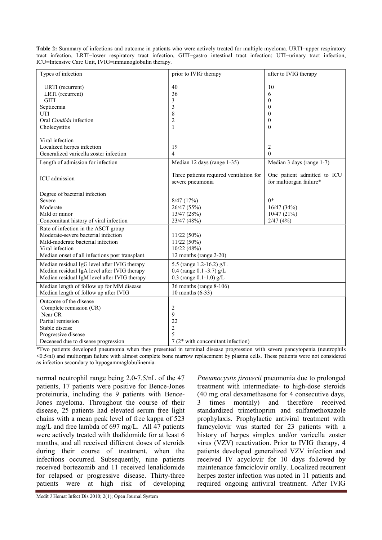**Table 2:** Summary of infections and outcome in patients who were actively treated for multiple myeloma. URTI=upper respiratory tract infection, LRTI=lower respiratory tract infection, GITI=gastro intestinal tract infection; UTI=urinary tract infection, ICU=Intensive Care Unit, IVIG=immunoglobulin therapy.

| Types of infection                                                                                                                                                                   | prior to IVIG therapy                                                                  | after to IVIG therapy                                                         |
|--------------------------------------------------------------------------------------------------------------------------------------------------------------------------------------|----------------------------------------------------------------------------------------|-------------------------------------------------------------------------------|
| URTI (recurrent)<br>LRTI (recurrent)<br><b>GITI</b><br>Septicemia<br><b>UTI</b><br>Oral Candida infection<br>Cholecystitis<br>Viral infection                                        | 40<br>36<br>3<br>3<br>8<br>$\overline{c}$<br>$\mathbf{1}$                              | 10<br>6<br>$\mathbf{0}$<br>$\theta$<br>$\overline{0}$<br>$\theta$<br>$\theta$ |
| Localized herpes infection                                                                                                                                                           | 19                                                                                     | $\overline{2}$                                                                |
| Generalized varicella zoster infection                                                                                                                                               | 4                                                                                      | $\overline{0}$                                                                |
| Length of admission for infection                                                                                                                                                    | Median 12 days (range 1-35)                                                            | Median 3 days (range 1-7)                                                     |
| ICU admission                                                                                                                                                                        | Three patients required ventilation for<br>severe pneumonia                            | One patient admitted to ICU<br>for multiorgan failure*                        |
| Degree of bacterial infection                                                                                                                                                        |                                                                                        |                                                                               |
| Severe                                                                                                                                                                               | 8/47(17%)                                                                              | $0*$                                                                          |
| Moderate                                                                                                                                                                             | 26/47 (55%)                                                                            | 16/47(34%)                                                                    |
| Mild or minor<br>Concomitant history of viral infection                                                                                                                              | 13/47(28%)<br>23/47 (48%)                                                              | 10/47(21%)<br>2/47(4%)                                                        |
| Rate of infection in the ASCT group<br>Moderate-severe bacterial infection<br>Mild-moderate bacterial infection<br>Viral infection<br>Median onset of all infections post transplant | $11/22(50\%)$<br>$11/22(50\%)$<br>10/22(48%)<br>12 months (range 2-20)                 |                                                                               |
| Median residual IgG level after IVIG therapy<br>Median residual IgA level after IVIG therapy<br>Median residual IgM level after IVIG therapy                                         | 5.5 (range 1.2-16.2) $g/L$<br>0.4 (range 0.1 -3.7) $g/L$<br>0.3 (range $0.1-1.0$ ) g/L |                                                                               |
| Median length of follow up for MM disease<br>Median length of follow up after IVIG                                                                                                   | 36 months (range 8-106)<br>10 months (6-33)                                            |                                                                               |
| Outcome of the disease<br>Complete remission (CR)<br>Near CR<br>Partial remission<br>Stable disease<br>Progressive disease<br>Deceased due to disease progression                    | 2<br>9<br>22<br>$\overline{c}$<br>5<br>$7(2)$ with concomitant infection)              |                                                                               |

\*Two patients developed pneumonia when they presented in terminal disease progression with severe pancytopenia (neutrophils <0.5/nl) and multiorgan failure with almost complete bone marrow replacement by plasma cells. These patients were not considered as infection secondary to hypogammaglobulinemia.

normal neutrophil range being 2.0-7.5/nL of the 47 patients, 17 patients were positive for Bence-Jones proteinuria, including the 9 patients with Bence-Jones myeloma. Throughout the course of their disease, 25 patients had elevated serum free light chains with a mean peak level of free kappa of 523 mg/L and free lambda of 697 mg/L. All 47 patients were actively treated with thalidomide for at least 6 months, and all received different doses of steroids during their course of treatment, when the infections occurred. Subsequently, nine patients received bortezomib and 11 received lenalidomide for relapsed or progressive disease. Thirty-three patients were at high risk of developing

treatment with intermediate- to high-dose steroids (40 mg oral dexamethasone for 4 consecutive days, 3 times monthly) and therefore received standardized trimethoprim and sulfamethoxazole prophylaxis. Prophylactic antiviral treatment with famcyclovir was started for 23 patients with a history of herpes simplex and/or varicella zoster virus (VZV) reactivation. Prior to IVIG therapy, 4 patients developed generalized VZV infection and received IV acyclovir for 10 days followed by maintenance famciclovir orally. Localized recurrent herpes zoster infection was noted in 11 patients and required ongoing antiviral treatment. After IVIG

*Pneumocystis jirovecii* pneumonia due to prolonged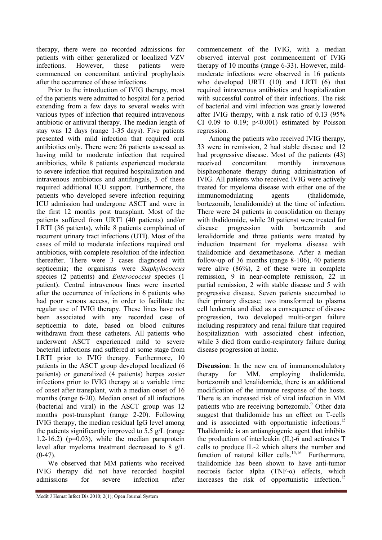therapy, there were no recorded admissions for patients with either generalized or localized VZV infections. However, these patients were commenced on concomitant antiviral prophylaxis after the occurrence of these infections.

Prior to the introduction of IVIG therapy, most of the patients were admitted to hospital for a period extending from a few days to several weeks with various types of infection that required intravenous antibiotic or antiviral therapy. The median length of stay was 12 days (range 1-35 days). Five patients presented with mild infection that required oral antibiotics only. There were 26 patients assessed as having mild to moderate infection that required antibiotics, while 8 patients experienced moderate to severe infection that required hospitalization and intravenous antibiotics and antifungals, 3 of these required additional ICU support. Furthermore, the patients who developed severe infection requiring ICU admission had undergone ASCT and were in the first 12 months post transplant. Most of the patients suffered from URTI (40 patients) and/or LRTI (36 patients), while 8 patients complained of recurrent urinary tract infections (UTI). Most of the cases of mild to moderate infections required oral antibiotics, with complete resolution of the infection thereafter. There were 3 cases diagnosed with septicemia; the organisms were *Staphylococcus* species (2 patients) and *Enterococcus* species (1 patient). Central intravenous lines were inserted after the occurrence of infections in 6 patients who had poor venous access, in order to facilitate the regular use of IVIG therapy. These lines have not been associated with any recorded case of septicemia to date, based on blood cultures withdrawn from these catheters. All patients who underwent ASCT experienced mild to severe bacterial infections and suffered at some stage from LRTI prior to IVIG therapy. Furthermore, 10 patients in the ASCT group developed localized (6 patients) or generalized (4 patients) herpes zoster infections prior to IVIG therapy at a variable time of onset after transplant, with a median onset of 16 months (range 6-20). Median onset of all infections (bacterial and viral) in the ASCT group was 12 months post-transplant (range 2-20). Following IVIG therapy, the median residual IgG level among the patients significantly improved to 5.5 g/L (range 1.2-16.2) ( $p=0.03$ ), while the median paraprotein level after myeloma treatment decreased to 8 g/L  $(0-47)$ .

We observed that MM patients who received IVIG therapy did not have recorded hospital admissions for severe infection after

commencement of the IVIG, with a median observed interval post commencement of IVIG therapy of 10 months (range 6-33). However, mildmoderate infections were observed in 16 patients who developed URTI (10) and LRTI (6) that required intravenous antibiotics and hospitalization with successful control of their infections. The risk of bacterial and viral infection was greatly lowered after IVIG therapy, with a risk ratio of 0.13 (95% CI 0.09 to 0.19;  $p<0.001$ ) estimated by Poisson regression.

Among the patients who received IVIG therapy, 33 were in remission, 2 had stable disease and 12 had progressive disease. Most of the patients (43) received concomitant monthly intravenous bisphosphonate therapy during administration of IVIG. All patients who received IVIG were actively treated for myeloma disease with either one of the immunomodulating agents (thalidomide, bortezomib, lenalidomide) at the time of infection. There were 24 patients in consolidation on therapy with thalidomide, while 20 patienst were treated for disease progression with bortezomib and lenalidomide and three patients were treated by induction treatment for myeloma disease with thalidomide and dexamethasone. After a median follow-up of 36 months (range 8-106), 40 patients were alive (86%), 2 of these were in complete remission, 9 in near-complete remission, 22 in partial remission, 2 with stable disease and 5 with progressive disease. Seven patients succumbed to their primary disease; two transformed to plasma cell leukemia and died as a consequence of disease progression, two developed multi-organ failure including respiratory and renal failure that required hospitalization with associated chest infection, while 3 died from cardio-respiratory failure during disease progression at home.

**Discussion**: In the new era of immunomodulatory therapy for MM, employing thalidomide, bortezomib and lenalidomide, there is an additional modification of the immune response of the hosts. There is an increased risk of viral infection in MM patients who are receiving bortezomib.<sup>9</sup> Other data suggest that thalidomide has an effect on T-cells and is associated with opportunistic infections.<sup>15</sup> Thalidomide is an antiangiogenic agent that inhibits the production of interleukin (IL)-6 and activates T cells to produce IL-2 which alters the number and function of natural killer cells.<sup>15,16</sup> Furthermore, thalidomide has been shown to have anti-tumor necrosis factor alpha  $(TNF-\alpha)$  effects, which increases the risk of opportunistic infection.<sup>15</sup>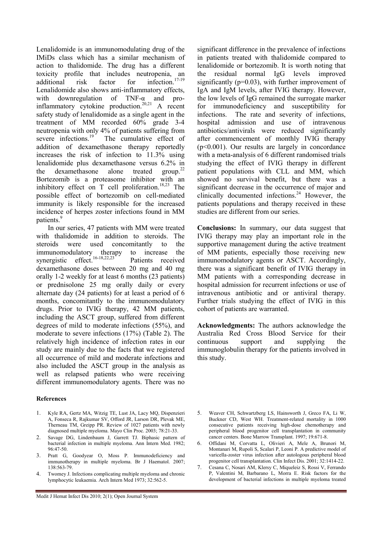Lenalidomide is an immunomodulating drug of the IMiDs class which has a similar mechanism of action to thalidomide. The drug has a different toxicity profile that includes neutropenia, an additional risk factor for infection.<sup>17-19</sup> Lenalidomide also shows anti-inflammatory effects, with downregulation of  $TNF-\alpha$  and proinflammatory cytokine production.20,21 A recent safety study of lenalidomide as a single agent in the treatment of MM recorded 60% grade 3-4 neutropenia with only 4% of patients suffering from<br>severe infections<sup>19</sup> The cumulative effect of The cumulative effect of addition of dexamethasone therapy reportedly increases the risk of infection to 11.3% using lenalidomide plus dexamethasone versus 6.2% in the dexamethasone alone treated group.<sup>22</sup> Bortezomib is a proteasome inhibitor with an inhibitory effect on T cell proliferation.<sup>18,23</sup> The possible effect of bortezomib on cell-mediated immunity is likely responsible for the increased incidence of herpes zoster infections found in MM patients.<sup>9</sup>

In our series, 47 patients with MM were treated with thalidomide in addition to steroids. The steroids were used concomitantly to the immunomodulatory therapy to increase the synergistic effect.<sup>16-18,22,23</sub> Patients received</sup> dexamethasone doses between 20 mg and 40 mg orally 1-2 weekly for at least 6 months (23 patients) or prednisolone 25 mg orally daily or every alternate day (24 patients) for at least a period of 6 months, concomitantly to the immunomodulatory drugs. Prior to IVIG therapy, 42 MM patients, including the ASCT group, suffered from different degrees of mild to moderate infections (55%), and moderate to severe infections (17%) (Table 2). The relatively high incidence of infection rates in our study are mainly due to the facts that we registered all occurrence of mild and moderate infections and also included the ASCT group in the analysis as well as relapsed patients who were receiving different immunomodulatory agents. There was no

## **References**

- 1. Kyle RA, Gertz MA, Witzig TE, Lust JA, Lacy MQ, Dispenzieri A, Fonseca R, Rajkumar SV, Offord JR, Larson DR, Plevak ME, Therneau TM, Greipp PR. Review of 1027 patients with newly diagnosed multiple myeloma. Mayo Clin Proc. 2003; 78:21-33.
- 2. Savage DG, Lindenbaum J, Garrett TJ. Biphasic pattern of bacterial infection in multiple myeloma. Ann Intern Med. 1982; 96:47-50.
- 3. Pratt G, Goodyear O, Moss P. Immunodeficiency and immunotherapy in multiple myeloma. Br J Haematol. 2007; 138:563-79.
- 4. Twomey J. Infections complicating multiple myeloma and chronic lymphocytic leukaemia. Arch Intern Med 1973; 32:562-5.

significant difference in the prevalence of infections in patients treated with thalidomide compared to lenalidomide or bortezomib. It is worth noting that the residual normal IgG levels improved significantly  $(p=0.03)$ , with further improvement of IgA and IgM levels, after IVIG therapy. However, the low levels of IgG remained the surrogate marker for immunodeficiency and susceptibility for infections. The rate and severity of infections, hospital admission and use of intravenous antibiotics/antivirals were reduced significantly after commencement of monthly IVIG therapy (p<0.001). Our results are largely in concordance with a meta-analysis of 6 different randomised trials studying the effect of IVIG therapy in different patient populations with CLL and MM, which showed no survival benefit, but there was a significant decrease in the occurrence of major and clinically documented infections.<sup>24</sup> However, the patients populations and therapy received in these studies are different from our series.

**Conclusions:** In summary, our data suggest that IVIG therapy may play an important role in the supportive management during the active treatment of MM patients, especially those receiving new immunomodulatory agents or ASCT. Accordingly, there was a significant benefit of IVIG therapy in MM patients with a corresponding decrease in hospital admission for recurrent infections or use of intravenous antibiotic and or antiviral therapy. Further trials studying the effect of IVIG in this cohort of patients are warranted.

**Acknowledgments:** The authors acknowledge the Australia Red Cross Blood Service for their continuous support and supplying the immunoglobulin therapy for the patients involved in this study.

- 5. Weaver CH, Schwartzberg LS, Hainsworth J, Greco FA, Li W, Buckner CD, West WH. Treatment-related mortality in 1000 consecutive patients receiving high-dose chemotherapy and peripheral blood progenitor cell transplantation in community cancer centers. Bone Marrow Transplant. 1997; 19:671-8.
- 6. Offidani M, Corvatta L, Olivieri A, Mele A, Brunori M, Montanari M, Rupoli S, Scalari P, Leoni P. A predictive model of varicella-zoster virus infection after autologous peripheral blood progenitor cell transplantation. Clin Infect Dis. 2001; 32:1414-22.
- 7. Cesana C, Nosari AM, Klersy C, Miqueleiz S, Rossi V, Ferrando P, Valentini M, Barbarano L, Morra E. Risk factors for the development of bacterial infections in multiple myeloma treated